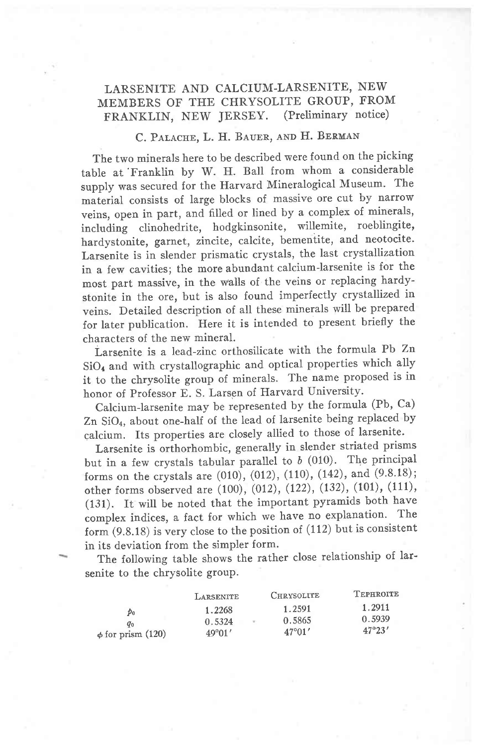## LARSENITE AND CALCIUM-LARSENITE, NEW MEMBERS OF THE CHRYSOLITE GROUP, FROM FRANKLIN, NEW JERSEY. (Preliminary notice)

## C. PALACHE, L. H. BAUER, AND H. BERMAN

The two minerals here to be described were found on the picking table at'Franklin by W. H. Ball from whom a considerable supply was secured for the Harvard Mineralogical Museum. The material consists of large blocks of massive ore cut by narrow veins, open in part, and filled or lined by a complex of minerals, including clinohedrite, hodgkinsonite, willemite, roeblingite, hardystonite, garnet, zincite, calcite, bementite, and neotocite. Larsenite is in slender prismatic crystals, the last crystallization in a few cavities; the more abundant calcium-larsenite is for the most part massive, in the walls of the veins or replacing hardystonite in the ore, but is also found imperfectly crystallized in veins. Detailed description of all these minerals will be prepared for later publication. Here it is intended to present briefly the characters of the new mineral.

Larsenite is a iead-zinc orthosilicate with the formula Pb Zn  $SiO<sub>4</sub>$  and with crystallographic and optical properties which ally it to the chrysolite group of minerals. The name proposed is in honor of Professor E. S. Larsen of Harvard University.

Calcium-larsenite may be represented by the formula (Pb, Ca) Zn  $SiO<sub>4</sub>$ , about one-half of the lead of larsenite being replaced by calcium. Its properties are closely allied to those of larsenite.

Larsenite is orthorhombic, generally in slender striated prisms but in a few crystals tabular parallel to  $b$  (010). The principal forms on the crystals are  $(010)$ ,  $(012)$ ,  $(110)$ ,  $(142)$ , and  $(9.8.18)$ ; other forms observed are (100), (012), (122), (132), (101), (111), (131). It will be noted that the important pyramids both have complex indices, a fact for which we have no explanation' The form  $(9.8.18)$  is very close to the position of  $(112)$  but is consistent in its deviation from the simpler form.

The following table shows the rather close relationship of larsenite to the chrysolite grouP.

| <b>LARSENITE</b>           | <b>CHRYSOLITE</b> | <b>TEPHROITE</b>                    |
|----------------------------|-------------------|-------------------------------------|
| 1.2268<br>0.5324<br>$\sim$ | 1.2591<br>0.5865  | 1.2911<br>0.5939<br>$47^{\circ}23'$ |
|                            | $49^{\circ}01'$   | $47^{\circ}01'$                     |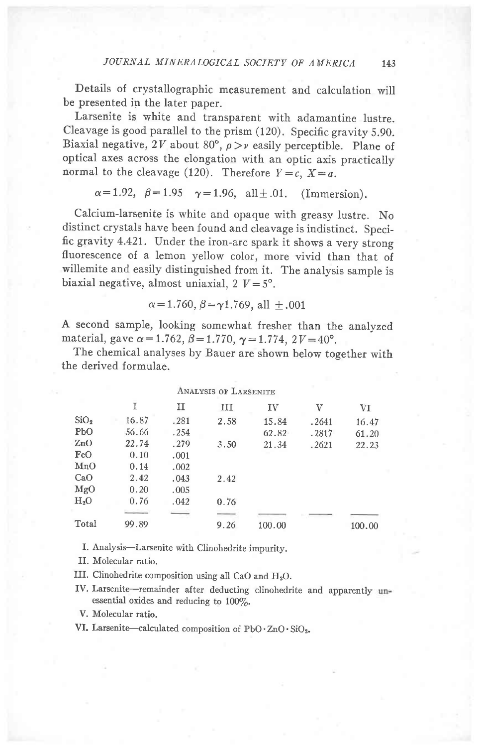Details of crystallographic measurement and calculation will be presented in the later paper.

Larsenite is white and transparent with adamantine lustre. Cleavage is good parallel to the prism (120). Specific gravity 5.90. Biaxial negative, 2V about 80°,  $\rho > \nu$  easily perceptible. Plane of optical axes across the elongation with an optic axis practically normal to the cleavage (120). Therefore  $Y=c$ ,  $X=a$ .

$$
\alpha = 1.92
$$
,  $\beta = 1.95$   $\gamma = 1.96$ , all  $\pm$  .01. (Immersion).

Calcium-larsenite is white and opaque with greasy lustre. No distinct crystals have been found and cleavage is indistinct. Specific gravity 4.427. Under the iron-arc spark it shows a very strong fluorescence of a lemon yellow color, more vivid than that of willemite and easily distinguished from it. The analysis sample is biaxial negative, almost uniaxial,  $2 V = 5^\circ$ .

 $\alpha$ =1.760,  $\beta$ = $\gamma$ 1.769, all  $\pm$ .001

A second sample, looking somewhat fresher than the analyzed. material, gave  $\alpha = 1.762$ ,  $\beta = 1.770$ ,  $\gamma = 1.774$ ,  $2V = 40^{\circ}$ .

The chemical analyses by Bauer are shown below together with the derived formulae.

|                  |       |      | ANALYSIS OF LARSENITE |        |       |        |
|------------------|-------|------|-----------------------|--------|-------|--------|
|                  | I     | п    | ш                     | IV     | V     | VI     |
| SiO <sub>2</sub> | 16.87 | .281 | 2.58                  | 15.84  | .2641 | 16.47  |
| PbO              | 56.66 | .254 |                       | 62.82  | .2817 | 61.20  |
| ZnO              | 22.74 | .279 | 3.50                  | 21.34  | .2621 | 22.23  |
| FeO              | 0.10  | .001 |                       |        |       |        |
| MnO              | 0.14  | .002 |                       |        |       |        |
| CaO              | 2.42  | .043 | 2.42                  |        |       |        |
| MgO              | 0.20  | .005 |                       |        |       |        |
| H <sub>2</sub> O | 0.76  | .042 | 0.76                  |        |       |        |
|                  |       |      |                       |        |       |        |
| Total            | 99.89 |      | 9.26                  | 100.00 |       | 100.00 |

I. Analysis-Larsenite with Clinohedrite impuritv.

II. Molecular ratio.

III. Clinohedrite composition using all CaO and H<sub>2</sub>O.

IV. Larsenite-remainder after deducting clinohedrite and apparently unessential oxides and reducing to  $100\%$ .

V. Molecular ratio.

VI. Larsenite-calculated composition of PbO . ZnO . SiO2.